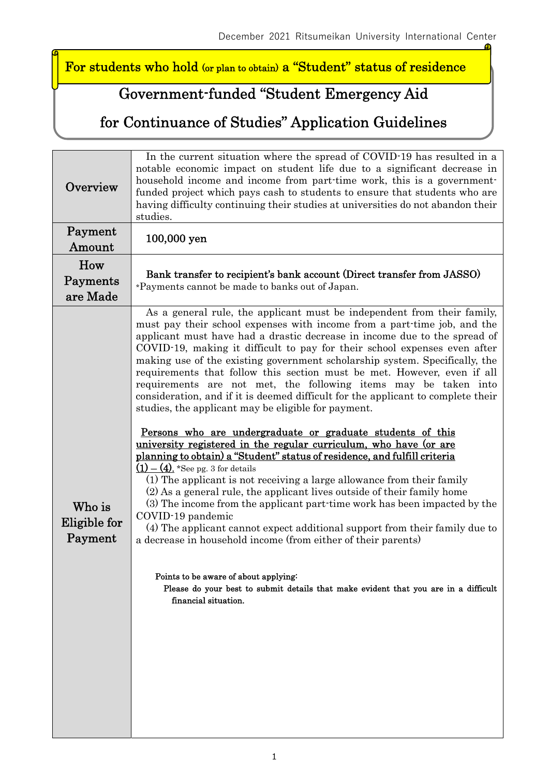For students who hold (or plan to obtain) a "Student" status of residence

## Government-funded "Student Emergency Aid

### for Continuance of Studies" Application Guidelines

| Overview                          | In the current situation where the spread of COVID-19 has resulted in a<br>notable economic impact on student life due to a significant decrease in<br>household income and income from part-time work, this is a government-<br>funded project which pays cash to students to ensure that students who are<br>having difficulty continuing their studies at universities do not abandon their<br>studies.                                                                                                                                                                                                                                                                                                                                                                                                                                                                                                                                                                                                                                                                                                                                                                                                                                                                                                                                                                                                                                                                                                                 |  |  |
|-----------------------------------|----------------------------------------------------------------------------------------------------------------------------------------------------------------------------------------------------------------------------------------------------------------------------------------------------------------------------------------------------------------------------------------------------------------------------------------------------------------------------------------------------------------------------------------------------------------------------------------------------------------------------------------------------------------------------------------------------------------------------------------------------------------------------------------------------------------------------------------------------------------------------------------------------------------------------------------------------------------------------------------------------------------------------------------------------------------------------------------------------------------------------------------------------------------------------------------------------------------------------------------------------------------------------------------------------------------------------------------------------------------------------------------------------------------------------------------------------------------------------------------------------------------------------|--|--|
| Payment<br>Amount                 | 100,000 yen                                                                                                                                                                                                                                                                                                                                                                                                                                                                                                                                                                                                                                                                                                                                                                                                                                                                                                                                                                                                                                                                                                                                                                                                                                                                                                                                                                                                                                                                                                                |  |  |
| How<br>Payments<br>are Made       | Bank transfer to recipient's bank account (Direct transfer from JASSO)<br>*Payments cannot be made to banks out of Japan.                                                                                                                                                                                                                                                                                                                                                                                                                                                                                                                                                                                                                                                                                                                                                                                                                                                                                                                                                                                                                                                                                                                                                                                                                                                                                                                                                                                                  |  |  |
| Who is<br>Eligible for<br>Payment | As a general rule, the applicant must be independent from their family,<br>must pay their school expenses with income from a part-time job, and the<br>applicant must have had a drastic decrease in income due to the spread of<br>COVID-19, making it difficult to pay for their school expenses even after<br>making use of the existing government scholarship system. Specifically, the<br>requirements that follow this section must be met. However, even if all<br>requirements are not met, the following items may be taken into<br>consideration, and if it is deemed difficult for the applicant to complete their<br>studies, the applicant may be eligible for payment.<br><u>Persons who are undergraduate or graduate students of this</u><br><u>university registered in the regular curriculum, who have (or are</u><br>planning to obtain) a "Student" status of residence, and fulfill criteria<br>$(1) - (4)$ . *See pg. 3 for details<br>(1) The applicant is not receiving a large allowance from their family<br>(2) As a general rule, the applicant lives outside of their family home<br>(3) The income from the applicant part-time work has been impacted by the<br>COVID-19 pandemic<br>(4) The applicant cannot expect additional support from their family due to<br>a decrease in household income (from either of their parents)<br>Points to be aware of about applying:<br>Please do your best to submit details that make evident that you are in a difficult<br>financial situation. |  |  |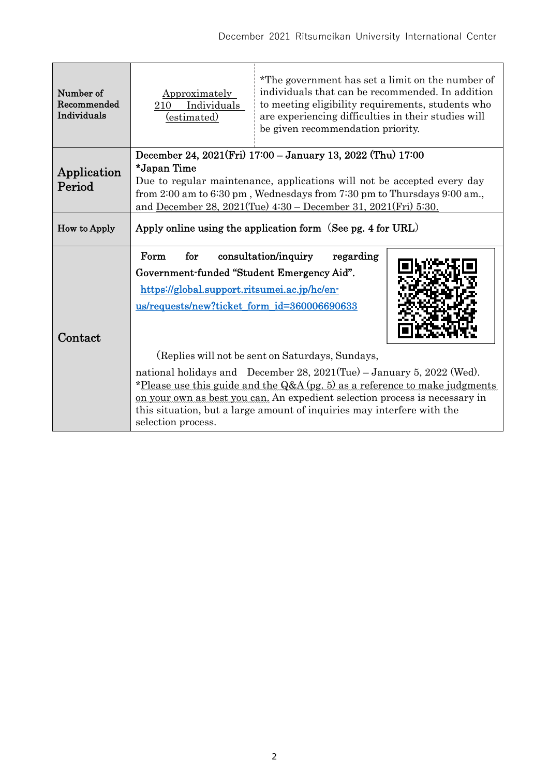| Number of<br>Recommended<br>Individuals | Approximately<br>Individuals<br>210<br>(estimated)                                                                                                                                                                                                                                                                                                                                                                                                                                                                                                                                         | *The government has set a limit on the number of<br>individuals that can be recommended. In addition<br>to meeting eligibility requirements, students who<br>are experiencing difficulties in their studies will<br>be given recommendation priority. |  |
|-----------------------------------------|--------------------------------------------------------------------------------------------------------------------------------------------------------------------------------------------------------------------------------------------------------------------------------------------------------------------------------------------------------------------------------------------------------------------------------------------------------------------------------------------------------------------------------------------------------------------------------------------|-------------------------------------------------------------------------------------------------------------------------------------------------------------------------------------------------------------------------------------------------------|--|
| Application<br>Period                   | December 24, 2021(Fri) 17:00 - January 13, 2022 (Thu) 17:00<br>*Japan Time<br>Due to regular maintenance, applications will not be accepted every day<br>from 2:00 am to 6:30 pm, Wednesdays from 7:30 pm to Thursdays 9:00 am.,<br>and December 28, 2021(Tue) 4:30 – December 31, 2021(Fri) 5:30.                                                                                                                                                                                                                                                                                         |                                                                                                                                                                                                                                                       |  |
| How to Apply                            | Apply online using the application form (See pg. 4 for URL)                                                                                                                                                                                                                                                                                                                                                                                                                                                                                                                                |                                                                                                                                                                                                                                                       |  |
| Contact                                 | Form<br>consultation/inquiry<br>for<br>regarding<br>Government-funded "Student Emergency Aid".<br>https://global.support.ritsumei.ac.jp/hc/en-<br>us/requests/new?ticket_form_id=360006690633<br>(Replies will not be sent on Saturdays, Sundays,<br>national holidays and December 28, 2021(Tue) - January 5, 2022 (Wed).<br>*Please use this guide and the $Q&A$ (pg. 5) as a reference to make judgments<br>on your own as best you can. An expedient selection process is necessary in<br>this situation, but a large amount of inquiries may interfere with the<br>selection process. |                                                                                                                                                                                                                                                       |  |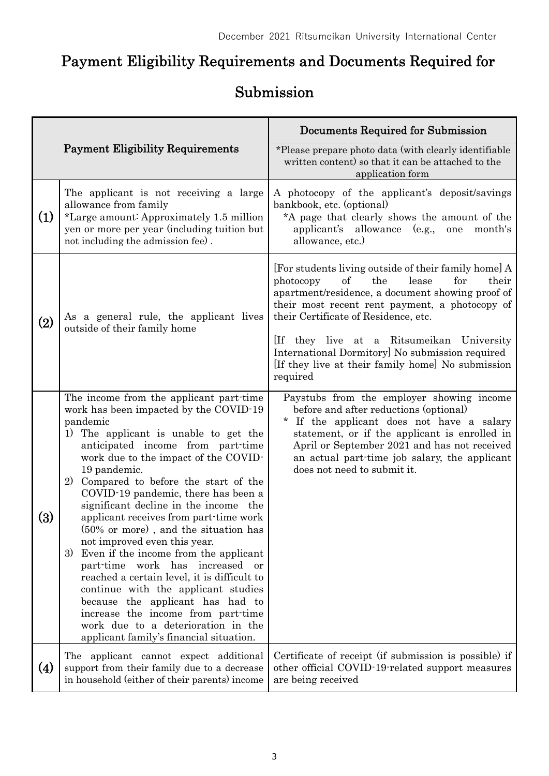# Payment Eligibility Requirements and Documents Required for

# Submission

|                                         |                                                                                                                                                                                                                                                                                                                                                                                                                                                                                                                                                                                                                                                                                                                                                                                                                             | Documents Required for Submission                                                                                                                                                                                                                                                                                                                                                                                      |
|-----------------------------------------|-----------------------------------------------------------------------------------------------------------------------------------------------------------------------------------------------------------------------------------------------------------------------------------------------------------------------------------------------------------------------------------------------------------------------------------------------------------------------------------------------------------------------------------------------------------------------------------------------------------------------------------------------------------------------------------------------------------------------------------------------------------------------------------------------------------------------------|------------------------------------------------------------------------------------------------------------------------------------------------------------------------------------------------------------------------------------------------------------------------------------------------------------------------------------------------------------------------------------------------------------------------|
| <b>Payment Eligibility Requirements</b> |                                                                                                                                                                                                                                                                                                                                                                                                                                                                                                                                                                                                                                                                                                                                                                                                                             | *Please prepare photo data (with clearly identifiable<br>written content) so that it can be attached to the<br>application form                                                                                                                                                                                                                                                                                        |
| (1)                                     | The applicant is not receiving a large<br>allowance from family<br>*Large amount: Approximately 1.5 million<br>yen or more per year (including tuition but<br>not including the admission fee).                                                                                                                                                                                                                                                                                                                                                                                                                                                                                                                                                                                                                             | A photocopy of the applicant's deposit/savings<br>bankbook, etc. (optional)<br>*A page that clearly shows the amount of the<br>applicant's allowance (e.g.,<br>one<br>month's<br>allowance, etc.)                                                                                                                                                                                                                      |
| $\rm(2)$                                | As a general rule, the applicant lives<br>outside of their family home                                                                                                                                                                                                                                                                                                                                                                                                                                                                                                                                                                                                                                                                                                                                                      | [For students living outside of their family home] A<br>of<br>the<br>lease<br>for<br>their<br>photocopy<br>apartment/residence, a document showing proof of<br>their most recent rent payment, a photocopy of<br>their Certificate of Residence, etc.<br>[If they live at a Ritsumeikan University<br>International Dormitory] No submission required<br>[If they live at their family home] No submission<br>required |
| $\left( 3\right)$                       | The income from the applicant part-time<br>work has been impacted by the COVID-19<br>pandemic<br>1) The applicant is unable to get the<br>anticipated income from part-time<br>work due to the impact of the COVID-<br>19 pandemic.<br>2)<br>Compared to before the start of the<br>COVID-19 pandemic, there has been a<br>significant decline in the income the<br>applicant receives from part-time work<br>(50% or more), and the situation has<br>not improved even this year.<br>Even if the income from the applicant<br>3)<br>part-time work has<br>increased<br>or<br>reached a certain level, it is difficult to<br>continue with the applicant studies<br>because the applicant has had to<br>increase the income from part-time<br>work due to a deterioration in the<br>applicant family's financial situation. | Paystubs from the employer showing income<br>before and after reductions (optional)<br>$\star$<br>If the applicant does not have a salary<br>statement, or if the applicant is enrolled in<br>April or September 2021 and has not received<br>an actual part-time job salary, the applicant<br>does not need to submit it.                                                                                             |
| (4)                                     | The applicant cannot expect additional<br>support from their family due to a decrease<br>in household (either of their parents) income                                                                                                                                                                                                                                                                                                                                                                                                                                                                                                                                                                                                                                                                                      | Certificate of receipt (if submission is possible) if<br>other official COVID-19-related support measures<br>are being received                                                                                                                                                                                                                                                                                        |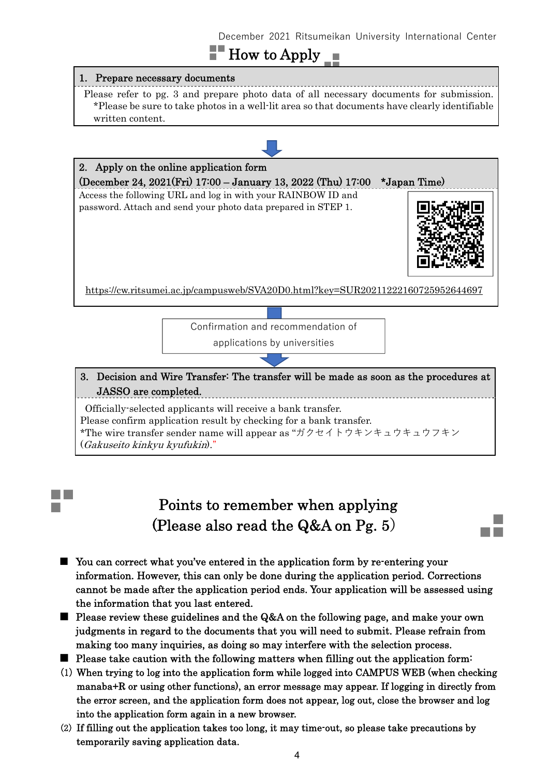### December 2021 Ritsumeikan University International Center

## $\blacksquare$  How to Apply  $\blacksquare$

#### 1. Prepare necessary documents

Please refer to pg. 3 and prepare photo data of all necessary documents for submission. \*Please be sure to take photos in a well-lit area so that documents have clearly identifiable written content.



Officially-selected applicants will receive a bank transfer. Please confirm application result by checking for a bank transfer. \*The wire transfer sender name will appear as "ガクセイトウキンキュウキュウフキン (Gakuseito kinkyu kyufukin)."

### Points to remember when applying (Please also read the Q&A on Pg. 5**)**

- You can correct what you've entered in the application form by re-entering your information. However, this can only be done during the application period. Corrections cannot be made after the application period ends. Your application will be assessed using the information that you last entered.
- Please review these guidelines and the Q&A on the following page, and make your own judgments in regard to the documents that you will need to submit. Please refrain from making too many inquiries, as doing so may interfere with the selection process.
- Please take caution with the following matters when filling out the application form:
- (1) When trying to log into the application form while logged into CAMPUS WEB (when checking manaba+R or using other functions), an error message may appear. If logging in directly from the error screen, and the application form does not appear, log out, close the browser and log into the application form again in a new browser.
- (2) If filling out the application takes too long, it may time-out, so please take precautions by temporarily saving application data.